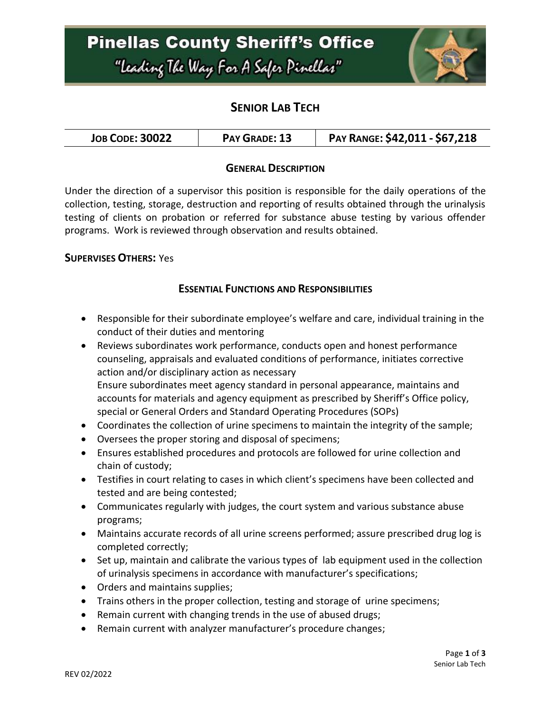## **Pinellas County Sheriff's Office** "Leading The Way For A Safer Pinellar"



## **SENIOR LAB TECH**

| <b>JOB CODE: 30022</b> | PAY GRADE: 13 | PAY RANGE: \$42,011 - \$67,218 |
|------------------------|---------------|--------------------------------|
|------------------------|---------------|--------------------------------|

#### **GENERAL DESCRIPTION**

Under the direction of a supervisor this position is responsible for the daily operations of the collection, testing, storage, destruction and reporting of results obtained through the urinalysis testing of clients on probation or referred for substance abuse testing by various offender programs. Work is reviewed through observation and results obtained.

#### **SUPERVISES OTHERS:** Yes

#### **ESSENTIAL FUNCTIONS AND RESPONSIBILITIES**

- Responsible for their subordinate employee's welfare and care, individual training in the conduct of their duties and mentoring
- Reviews subordinates work performance, conducts open and honest performance counseling, appraisals and evaluated conditions of performance, initiates corrective action and/or disciplinary action as necessary Ensure subordinates meet agency standard in personal appearance, maintains and accounts for materials and agency equipment as prescribed by Sheriff's Office policy, special or General Orders and Standard Operating Procedures (SOPs)
- Coordinates the collection of urine specimens to maintain the integrity of the sample;
- Oversees the proper storing and disposal of specimens;
- Ensures established procedures and protocols are followed for urine collection and chain of custody;
- Testifies in court relating to cases in which client's specimens have been collected and tested and are being contested;
- Communicates regularly with judges, the court system and various substance abuse programs;
- Maintains accurate records of all urine screens performed; assure prescribed drug log is completed correctly;
- Set up, maintain and calibrate the various types of lab equipment used in the collection of urinalysis specimens in accordance with manufacturer's specifications;
- Orders and maintains supplies;
- Trains others in the proper collection, testing and storage of urine specimens;
- Remain current with changing trends in the use of abused drugs;
- Remain current with analyzer manufacturer's procedure changes;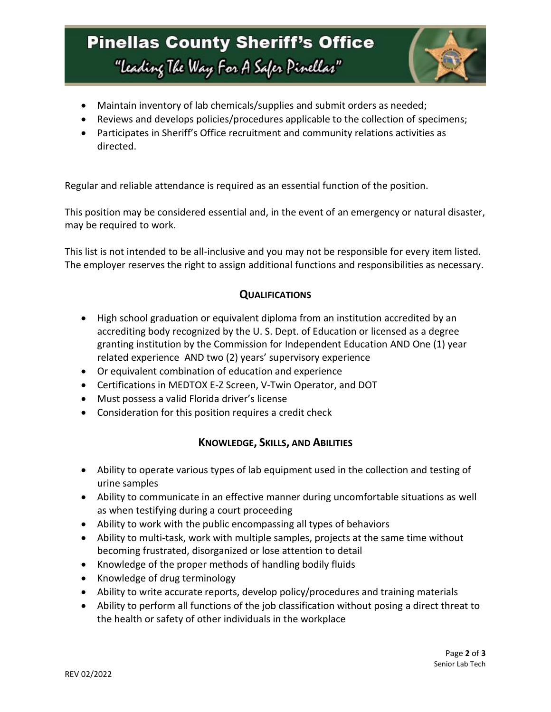# **Pinellas County Sheriff's Office** "Leading The Way For A Safer Pinellar"



- Maintain inventory of lab chemicals/supplies and submit orders as needed;
- Reviews and develops policies/procedures applicable to the collection of specimens;
- Participates in Sheriff's Office recruitment and community relations activities as directed.

Regular and reliable attendance is required as an essential function of the position.

This position may be considered essential and, in the event of an emergency or natural disaster, may be required to work.

This list is not intended to be all-inclusive and you may not be responsible for every item listed. The employer reserves the right to assign additional functions and responsibilities as necessary.

### **QUALIFICATIONS**

- High school graduation or equivalent diploma from an institution accredited by an accrediting body recognized by the U. S. Dept. of Education or licensed as a degree granting institution by the Commission for Independent Education AND One (1) year related experience AND two (2) years' supervisory experience
- Or equivalent combination of education and experience
- Certifications in MEDTOX E-Z Screen, V-Twin Operator, and DOT
- Must possess a valid Florida driver's license
- Consideration for this position requires a credit check

### **KNOWLEDGE, SKILLS, AND ABILITIES**

- Ability to operate various types of lab equipment used in the collection and testing of urine samples
- Ability to communicate in an effective manner during uncomfortable situations as well as when testifying during a court proceeding
- Ability to work with the public encompassing all types of behaviors
- Ability to multi-task, work with multiple samples, projects at the same time without becoming frustrated, disorganized or lose attention to detail
- Knowledge of the proper methods of handling bodily fluids
- Knowledge of drug terminology
- Ability to write accurate reports, develop policy/procedures and training materials
- Ability to perform all functions of the job classification without posing a direct threat to the health or safety of other individuals in the workplace